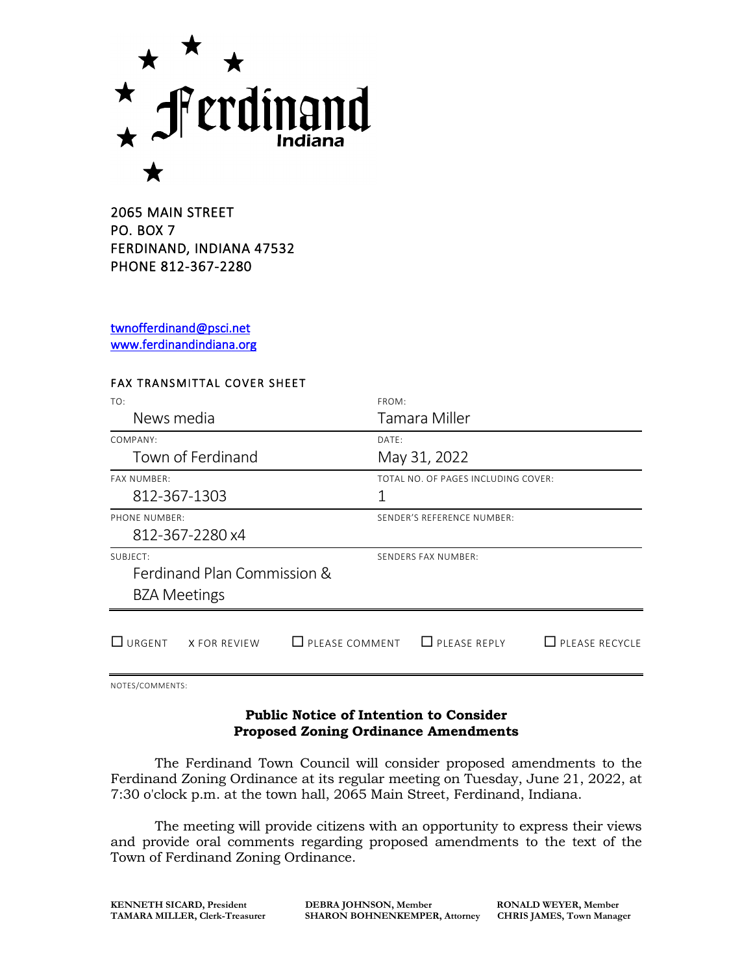

2065 MAIN STREET PO. BOX 7 FERDINAND, INDIANA 47532 PHONE 812-367-2280

[twnofferdinand@psci.net](mailto:twnofferdinand@psci.net)  [www.ferdinandindiana.org](http://www.ferdinandindiana.org/) 

## FAX TRANSMITTAL COVER SHEET

| TO:                                             | FROM:                                        |
|-------------------------------------------------|----------------------------------------------|
| News media                                      | Tamara Miller                                |
| COMPANY:                                        | DATF:                                        |
| Town of Ferdinand                               | May 31, 2022                                 |
| <b>FAX NUMBER:</b>                              | TOTAL NO. OF PAGES INCLUDING COVER:          |
| 812-367-1303                                    | 1                                            |
| PHONE NUMBER:                                   | SENDER'S REFERENCE NUMBER:                   |
| 812-367-2280 x4                                 |                                              |
| SUBJFCT:                                        | SENDERS FAX NUMBER:                          |
| Ferdinand Plan Commission &                     |                                              |
| <b>BZA Meetings</b>                             |                                              |
| $\Box$ PLEASE COMMENT<br>URGENT<br>X FOR REVIEW | $\Box$ PLEASE REPLY<br>$\Box$ PLEASE RECYCLE |

NOTES/COMMENTS:

## **Public Notice of Intention to Consider Proposed Zoning Ordinance Amendments**

The Ferdinand Town Council will consider proposed amendments to the Ferdinand Zoning Ordinance at its regular meeting on Tuesday, June 21, 2022, at 7:30 o'clock p.m. at the town hall, 2065 Main Street, Ferdinand, Indiana.

The meeting will provide citizens with an opportunity to express their views and provide oral comments regarding proposed amendments to the text of the Town of Ferdinand Zoning Ordinance.